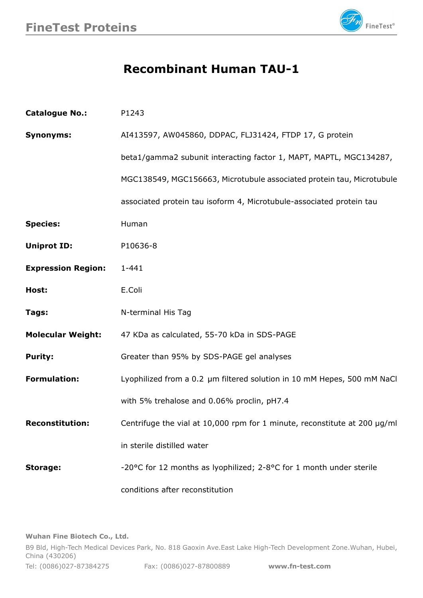

## **Recombinant Human TAU-1**

| <b>Catalogue No.:</b>     | P1243                                                                     |
|---------------------------|---------------------------------------------------------------------------|
| <b>Synonyms:</b>          | AI413597, AW045860, DDPAC, FLJ31424, FTDP 17, G protein                   |
|                           | beta1/gamma2 subunit interacting factor 1, MAPT, MAPTL, MGC134287,        |
|                           | MGC138549, MGC156663, Microtubule associated protein tau, Microtubule     |
|                           | associated protein tau isoform 4, Microtubule-associated protein tau      |
| <b>Species:</b>           | Human                                                                     |
| <b>Uniprot ID:</b>        | P10636-8                                                                  |
| <b>Expression Region:</b> | $1 - 441$                                                                 |
| Host:                     | E.Coli                                                                    |
| Tags:                     | N-terminal His Tag                                                        |
| <b>Molecular Weight:</b>  | 47 KDa as calculated, 55-70 kDa in SDS-PAGE                               |
| <b>Purity:</b>            | Greater than 95% by SDS-PAGE gel analyses                                 |
| <b>Formulation:</b>       | Lyophilized from a 0.2 um filtered solution in 10 mM Hepes, 500 mM NaCl   |
|                           | with 5% trehalose and 0.06% proclin, pH7.4                                |
| <b>Reconstitution:</b>    | Centrifuge the vial at 10,000 rpm for 1 minute, reconstitute at 200 µg/ml |
|                           | in sterile distilled water                                                |
| <b>Storage:</b>           | -20°C for 12 months as lyophilized; 2-8°C for 1 month under sterile       |
|                           | conditions after reconstitution                                           |

**Wuhan Fine Biotech Co., Ltd.**

B9 Bld, High-Tech Medical Devices Park, No. 818 Gaoxin Ave.East Lake High-Tech Development Zone.Wuhan, Hubei, China (430206) Tel: (0086)027-87384275 Fax: (0086)027-87800889 **[www.fn-test.com](http://www.fn-test.com)**